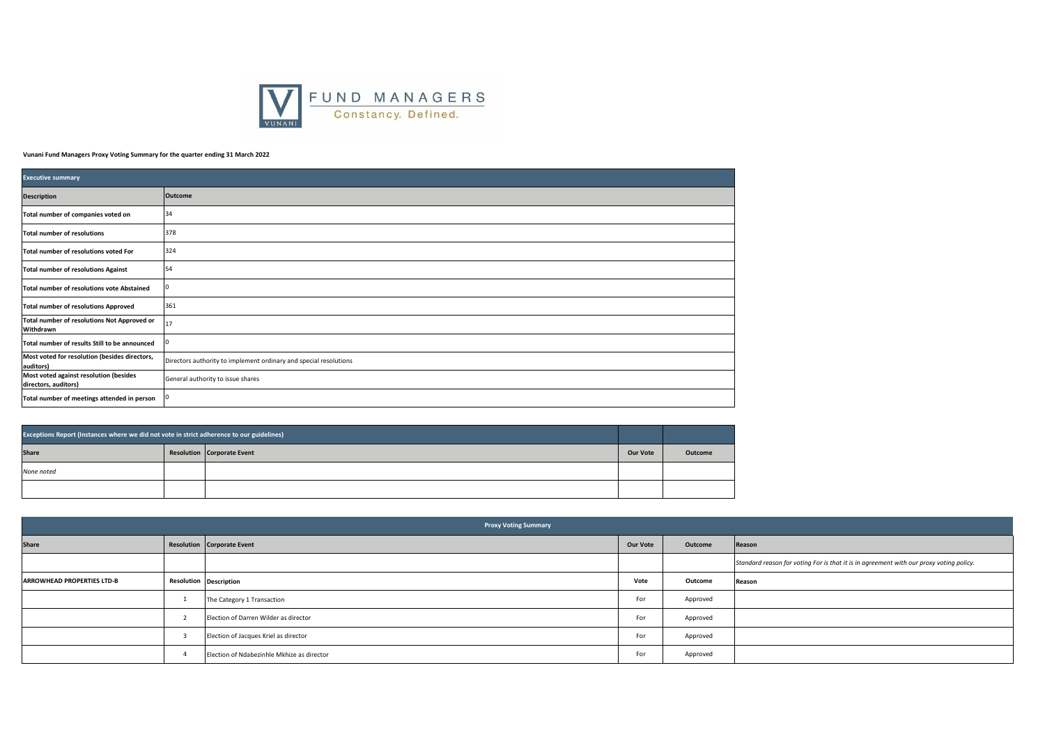

## **Vunani Fund Managers Proxy Voting Summary for the quarter ending 31 March 2022**

| <b>Executive summary</b>                                       |                                                                   |  |  |  |  |  |
|----------------------------------------------------------------|-------------------------------------------------------------------|--|--|--|--|--|
| <b>Description</b>                                             | Outcome                                                           |  |  |  |  |  |
| Total number of companies voted on                             | 34                                                                |  |  |  |  |  |
| <b>Total number of resolutions</b>                             | 378                                                               |  |  |  |  |  |
| Total number of resolutions voted For                          | 324                                                               |  |  |  |  |  |
| <b>Total number of resolutions Against</b>                     | 54                                                                |  |  |  |  |  |
| Total number of resolutions vote Abstained                     | <b>O</b>                                                          |  |  |  |  |  |
| <b>Total number of resolutions Approved</b>                    | 361                                                               |  |  |  |  |  |
| Total number of resolutions Not Approved or<br>Withdrawn       | 17                                                                |  |  |  |  |  |
| Total number of results Still to be announced                  | <b>0</b>                                                          |  |  |  |  |  |
| Most voted for resolution (besides directors,<br>auditors)     | Directors authority to implement ordinary and special resolutions |  |  |  |  |  |
| Most voted against resolution (besides<br>directors, auditors) | General authority to issue shares                                 |  |  |  |  |  |
| Total number of meetings attended in person                    | 10                                                                |  |  |  |  |  |

| Exceptions Report (Instances where we did not vote in strict adherence to our guidelines) |                            |                 |         |
|-------------------------------------------------------------------------------------------|----------------------------|-----------------|---------|
| <b>Share</b>                                                                              | Resolution Corporate Event | <b>Our Vote</b> | Outcome |
| None noted                                                                                |                            |                 |         |
|                                                                                           |                            |                 |         |

| <b>Proxy Voting Summary</b> |                               |                                            |          |          |                                                                                         |  |  |
|-----------------------------|-------------------------------|--------------------------------------------|----------|----------|-----------------------------------------------------------------------------------------|--|--|
| Share                       |                               | Resolution Corporate Event                 | Our Vote | Outcome  | Reason                                                                                  |  |  |
|                             |                               |                                            |          |          | Standard reason for voting For is that it is in agreement with our proxy voting policy. |  |  |
| ARROWHEAD PROPERTIES LTD-B  | <b>Resolution Description</b> |                                            | Vote     | Outcome  | Reason                                                                                  |  |  |
|                             |                               | The Category 1 Transaction                 | For      | Approved |                                                                                         |  |  |
|                             |                               | Election of Darren Wilder as director      | For      | Approved |                                                                                         |  |  |
|                             |                               | Election of Jacques Kriel as director      | For      | Approved |                                                                                         |  |  |
|                             |                               | Election of Ndabezinhle Mkhize as director | For      | Approved |                                                                                         |  |  |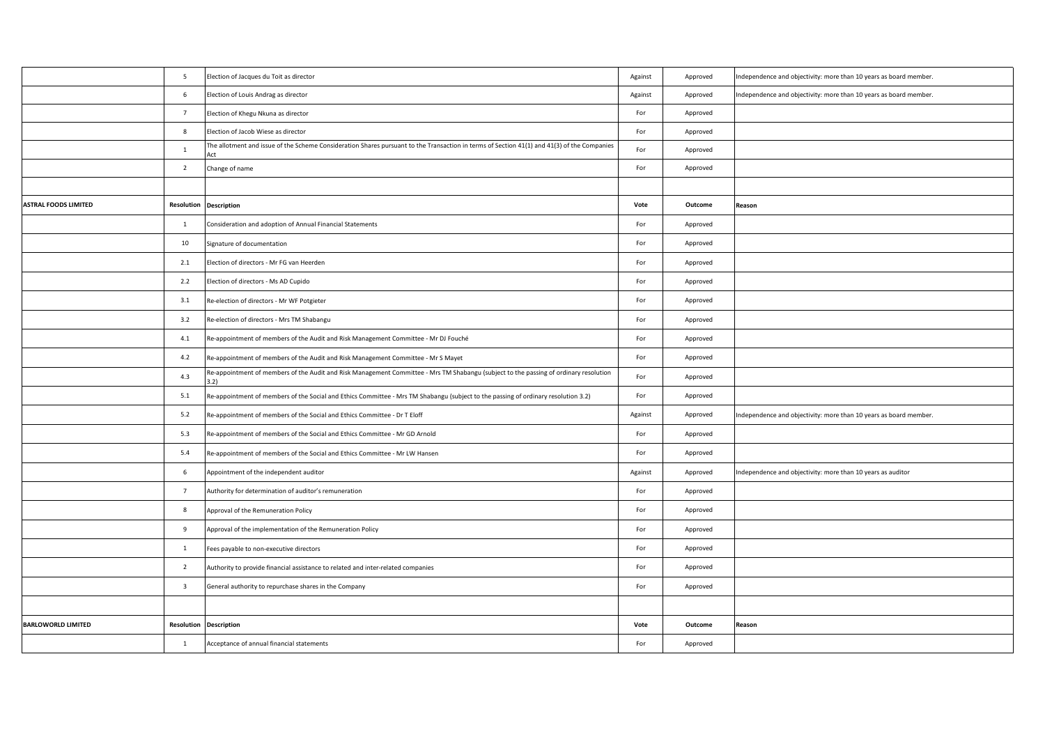|                             | 5                       | Election of Jacques du Toit as director                                                                                                            | Against | Approved | Independence and objectivity: more than 10 years as board member. |
|-----------------------------|-------------------------|----------------------------------------------------------------------------------------------------------------------------------------------------|---------|----------|-------------------------------------------------------------------|
|                             | 6                       | Election of Louis Andrag as director                                                                                                               | Against | Approved | ndependence and objectivity: more than 10 years as board member.  |
|                             | $\overline{7}$          | Election of Khegu Nkuna as director                                                                                                                | For     | Approved |                                                                   |
|                             | 8                       | Election of Jacob Wiese as director                                                                                                                | For     | Approved |                                                                   |
|                             | 1                       | The allotment and issue of the Scheme Consideration Shares pursuant to the Transaction in terms of Section 41(1) and 41(3) of the Companies<br>Act | For     | Approved |                                                                   |
|                             | $\overline{2}$          | Change of name                                                                                                                                     | For     | Approved |                                                                   |
|                             |                         |                                                                                                                                                    |         |          |                                                                   |
| <b>ASTRAL FOODS LIMITED</b> |                         | <b>Resolution Description</b>                                                                                                                      | Vote    | Outcome  | Reason                                                            |
|                             | $\mathbf{1}$            | Consideration and adoption of Annual Financial Statements                                                                                          | For     | Approved |                                                                   |
|                             | 10                      | Signature of documentation                                                                                                                         | For     | Approved |                                                                   |
|                             | 2.1                     | Election of directors - Mr FG van Heerden                                                                                                          | For     | Approved |                                                                   |
|                             | 2.2                     | Election of directors - Ms AD Cupido                                                                                                               | For     | Approved |                                                                   |
|                             | 3.1                     | Re-election of directors - Mr WF Potgieter                                                                                                         | For     | Approved |                                                                   |
|                             | 3.2                     | Re-election of directors - Mrs TM Shabangu                                                                                                         | For     | Approved |                                                                   |
|                             | 4.1                     | Re-appointment of members of the Audit and Risk Management Committee - Mr DJ Fouché                                                                | For     | Approved |                                                                   |
|                             | 4.2                     | Re-appointment of members of the Audit and Risk Management Committee - Mr S Mayet                                                                  | For     | Approved |                                                                   |
|                             | 4.3                     | Re-appointment of members of the Audit and Risk Management Committee - Mrs TM Shabangu (subject to the passing of ordinary resolution<br>3.2)      | For     | Approved |                                                                   |
|                             | 5.1                     | Re-appointment of members of the Social and Ethics Committee - Mrs TM Shabangu (subject to the passing of ordinary resolution 3.2)                 | For     | Approved |                                                                   |
|                             | 5.2                     | Re-appointment of members of the Social and Ethics Committee - Dr T Eloff                                                                          | Against | Approved | ndependence and objectivity: more than 10 years as board member.  |
|                             | 5.3                     | Re-appointment of members of the Social and Ethics Committee - Mr GD Arnold                                                                        | For     | Approved |                                                                   |
|                             | 5.4                     | Re-appointment of members of the Social and Ethics Committee - Mr LW Hansen                                                                        | For     | Approved |                                                                   |
|                             | 6                       | Appointment of the independent auditor                                                                                                             | Against | Approved | ndependence and objectivity: more than 10 years as auditor        |
|                             | $7\overline{ }$         | Authority for determination of auditor's remuneration                                                                                              | For     | Approved |                                                                   |
|                             | 8                       | Approval of the Remuneration Policy                                                                                                                | For     | Approved |                                                                   |
|                             | $\overline{9}$          | Approval of the implementation of the Remuneration Policy                                                                                          | For     | Approved |                                                                   |
|                             | $\mathbf{1}$            | Fees payable to non-executive directors                                                                                                            | For     | Approved |                                                                   |
|                             | $\overline{2}$          | Authority to provide financial assistance to related and inter-related companies                                                                   | For     | Approved |                                                                   |
|                             | $\overline{\mathbf{3}}$ | General authority to repurchase shares in the Company                                                                                              | For     | Approved |                                                                   |
|                             |                         |                                                                                                                                                    |         |          |                                                                   |
| <b>BARLOWORLD LIMITED</b>   |                         | <b>Resolution Description</b>                                                                                                                      | Vote    | Outcome  | Reason                                                            |
|                             | $\mathbf{1}$            | Acceptance of annual financial statements                                                                                                          | For     | Approved |                                                                   |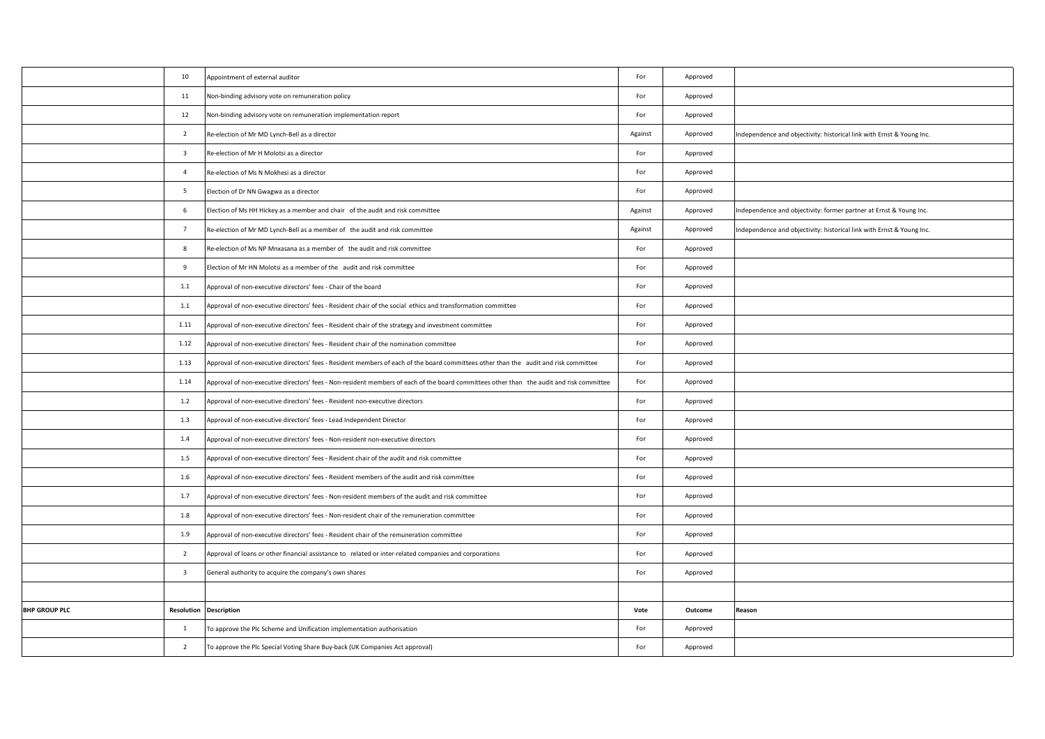|                      | 10                      | Appointment of external auditor                                                                                                          | For     | Approved |                                                                       |
|----------------------|-------------------------|------------------------------------------------------------------------------------------------------------------------------------------|---------|----------|-----------------------------------------------------------------------|
|                      | 11                      | Non-binding advisory vote on remuneration policy                                                                                         | For     | Approved |                                                                       |
|                      | 12                      | Non-binding advisory vote on remuneration implementation report                                                                          | For     | Approved |                                                                       |
|                      | $\overline{2}$          | Re-election of Mr MD Lynch-Bell as a director                                                                                            | Against | Approved | Independence and objectivity: historical link with Ernst & Young Inc. |
|                      | $\overline{\mathbf{3}}$ | Re-election of Mr H Molotsi as a director                                                                                                | For     | Approved |                                                                       |
|                      | $\overline{4}$          | Re-election of Ms N Mokhesi as a director                                                                                                | For     | Approved |                                                                       |
|                      | $5\overline{5}$         | Election of Dr NN Gwagwa as a director                                                                                                   | For     | Approved |                                                                       |
|                      | 6                       | Election of Ms HH Hickey as a member and chair of the audit and risk committee                                                           | Against | Approved | Independence and objectivity: former partner at Ernst & Young Inc.    |
|                      | $7\overline{ }$         | Re-election of Mr MD Lynch-Bell as a member of the audit and risk committee                                                              | Against | Approved | Independence and objectivity: historical link with Ernst & Young Inc. |
|                      | 8                       | Re-election of Ms NP Mnxasana as a member of the audit and risk committee                                                                | For     | Approved |                                                                       |
|                      | 9                       | Election of Mr HN Molotsi as a member of the audit and risk committee                                                                    | For     | Approved |                                                                       |
|                      | $1.1$                   | Approval of non-executive directors' fees - Chair of the board                                                                           | For     | Approved |                                                                       |
|                      | 1.1                     | Approval of non-executive directors' fees - Resident chair of the social ethics and transformation committee                             | For     | Approved |                                                                       |
|                      | 1.11                    | Approval of non-executive directors' fees - Resident chair of the strategy and investment committee                                      | For     | Approved |                                                                       |
|                      | 1.12                    | Approval of non-executive directors' fees - Resident chair of the nomination committee                                                   | For     | Approved |                                                                       |
|                      | 1.13                    | Approval of non-executive directors' fees - Resident members of each of the board committees other than the audit and risk committee     | For     | Approved |                                                                       |
|                      | 1.14                    | Approval of non-executive directors' fees - Non-resident members of each of the board committees other than the audit and risk committee | For     | Approved |                                                                       |
|                      | 1.2                     | Approval of non-executive directors' fees - Resident non-executive directors                                                             | For     | Approved |                                                                       |
|                      | 1.3                     | Approval of non-executive directors' fees - Lead Independent Director                                                                    | For     | Approved |                                                                       |
|                      | 1.4                     | Approval of non-executive directors' fees - Non-resident non-executive directors                                                         | For     | Approved |                                                                       |
|                      | 1.5                     | Approval of non-executive directors' fees - Resident chair of the audit and risk committee                                               | For     | Approved |                                                                       |
|                      | 1.6                     | Approval of non-executive directors' fees - Resident members of the audit and risk committee                                             | For     | Approved |                                                                       |
|                      | 1.7                     | Approval of non-executive directors' fees - Non-resident members of the audit and risk committee                                         | For     | Approved |                                                                       |
|                      | 1.8                     | Approval of non-executive directors' fees - Non-resident chair of the remuneration committee                                             | For     | Approved |                                                                       |
|                      | 1.9                     | Approval of non-executive directors' fees - Resident chair of the remuneration committee                                                 | For     | Approved |                                                                       |
|                      | $\overline{2}$          | Approval of loans or other financial assistance to related or inter-related companies and corporations                                   | For     | Approved |                                                                       |
|                      | $\overline{\mathbf{3}}$ | General authority to acquire the company's own shares                                                                                    | For     | Approved |                                                                       |
|                      |                         |                                                                                                                                          |         |          |                                                                       |
| <b>BHP GROUP PLC</b> | Resolution              | <b>Description</b>                                                                                                                       | Vote    | Outcome  | Reason                                                                |
|                      | $\mathbf{1}$            | To approve the Plc Scheme and Unification implementation authorisation                                                                   | For     | Approved |                                                                       |
|                      | $\overline{2}$          | To approve the Plc Special Voting Share Buy-back (UK Companies Act approval)                                                             | For     | Approved |                                                                       |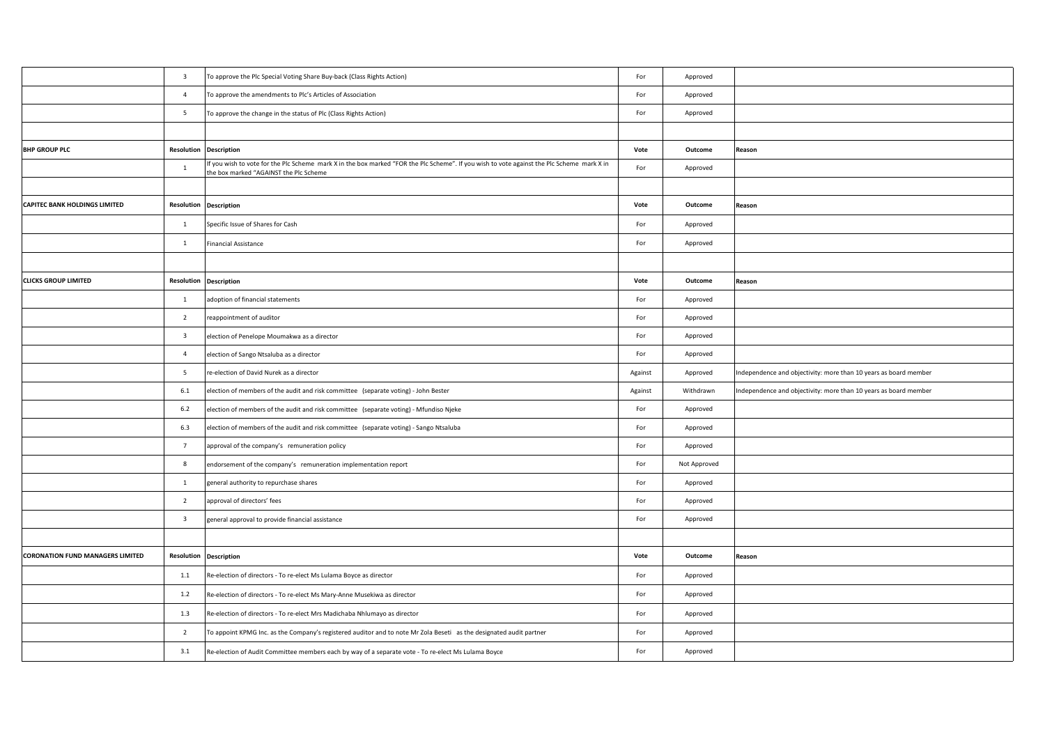|                                         | $\overline{\mathbf{3}}$ | To approve the Plc Special Voting Share Buy-back (Class Rights Action)                                                                                                               | For     | Approved     |                                                                  |
|-----------------------------------------|-------------------------|--------------------------------------------------------------------------------------------------------------------------------------------------------------------------------------|---------|--------------|------------------------------------------------------------------|
|                                         | $\overline{4}$          | To approve the amendments to Plc's Articles of Association                                                                                                                           | For     | Approved     |                                                                  |
|                                         | $5\overline{5}$         | To approve the change in the status of Plc (Class Rights Action)                                                                                                                     | For     | Approved     |                                                                  |
|                                         |                         |                                                                                                                                                                                      |         |              |                                                                  |
| <b>BHP GROUP PLC</b>                    |                         | <b>Resolution Description</b>                                                                                                                                                        | Vote    | Outcome      | Reason                                                           |
|                                         | $\overline{1}$          | If you wish to vote for the PIc Scheme mark X in the box marked "FOR the PIc Scheme". If you wish to vote against the PIc Scheme mark X in<br>the box marked "AGAINST the Plc Scheme | For     | Approved     |                                                                  |
|                                         |                         |                                                                                                                                                                                      |         |              |                                                                  |
| CAPITEC BANK HOLDINGS LIMITED           |                         | <b>Resolution Description</b>                                                                                                                                                        | Vote    | Outcome      | Reason                                                           |
|                                         | $\overline{1}$          | Specific Issue of Shares for Cash                                                                                                                                                    | For     | Approved     |                                                                  |
|                                         | $\mathbf{1}$            | <b>Financial Assistance</b>                                                                                                                                                          | For     | Approved     |                                                                  |
|                                         |                         |                                                                                                                                                                                      |         |              |                                                                  |
| <b>CLICKS GROUP LIMITED</b>             | Resolution              | <b>Description</b>                                                                                                                                                                   | Vote    | Outcome      | Reason                                                           |
|                                         | $\overline{1}$          | adoption of financial statements                                                                                                                                                     | For     | Approved     |                                                                  |
|                                         | $\overline{2}$          | reappointment of auditor                                                                                                                                                             | For     | Approved     |                                                                  |
|                                         | $\overline{\mathbf{3}}$ | election of Penelope Moumakwa as a director                                                                                                                                          | For     | Approved     |                                                                  |
|                                         | $\overline{4}$          | election of Sango Ntsaluba as a director                                                                                                                                             | For     | Approved     |                                                                  |
|                                         | $5\overline{5}$         | re-election of David Nurek as a director                                                                                                                                             | Against | Approved     | Independence and objectivity: more than 10 years as board member |
|                                         | 6.1                     | election of members of the audit and risk committee (separate voting) - John Bester                                                                                                  | Against | Withdrawn    | Independence and objectivity: more than 10 years as board member |
|                                         | 6.2                     | election of members of the audit and risk committee (separate voting) - Mfundiso Njeke                                                                                               | For     | Approved     |                                                                  |
|                                         | 6.3                     | election of members of the audit and risk committee (separate voting) - Sango Ntsaluba                                                                                               | For     | Approved     |                                                                  |
|                                         | $7\overline{ }$         | approval of the company's remuneration policy                                                                                                                                        | For     | Approved     |                                                                  |
|                                         | 8                       | endorsement of the company's remuneration implementation report                                                                                                                      | For     | Not Approved |                                                                  |
|                                         | $\mathbf{1}$            | general authority to repurchase shares                                                                                                                                               | For     | Approved     |                                                                  |
|                                         | $\overline{2}$          | approval of directors' fees                                                                                                                                                          | For     | Approved     |                                                                  |
|                                         | $\overline{\mathbf{3}}$ | general approval to provide financial assistance                                                                                                                                     | For     | Approved     |                                                                  |
|                                         |                         |                                                                                                                                                                                      |         |              |                                                                  |
| <b>CORONATION FUND MANAGERS LIMITED</b> |                         | <b>Resolution Description</b>                                                                                                                                                        | Vote    | Outcome      | Reason                                                           |
|                                         | $1.1\,$                 | Re-election of directors - To re-elect Ms Lulama Boyce as director                                                                                                                   | For     | Approved     |                                                                  |
|                                         | 1.2                     | Re-election of directors - To re-elect Ms Mary-Anne Musekiwa as director                                                                                                             | For     | Approved     |                                                                  |
|                                         | 1.3                     | Re-election of directors - To re-elect Mrs Madichaba Nhlumayo as director                                                                                                            | For     | Approved     |                                                                  |
|                                         | $\overline{2}$          | To appoint KPMG Inc. as the Company's registered auditor and to note Mr Zola Beseti as the designated audit partner                                                                  | For     | Approved     |                                                                  |
|                                         | 3.1                     | Re-election of Audit Committee members each by way of a separate vote - To re-elect Ms Lulama Boyce                                                                                  | For     | Approved     |                                                                  |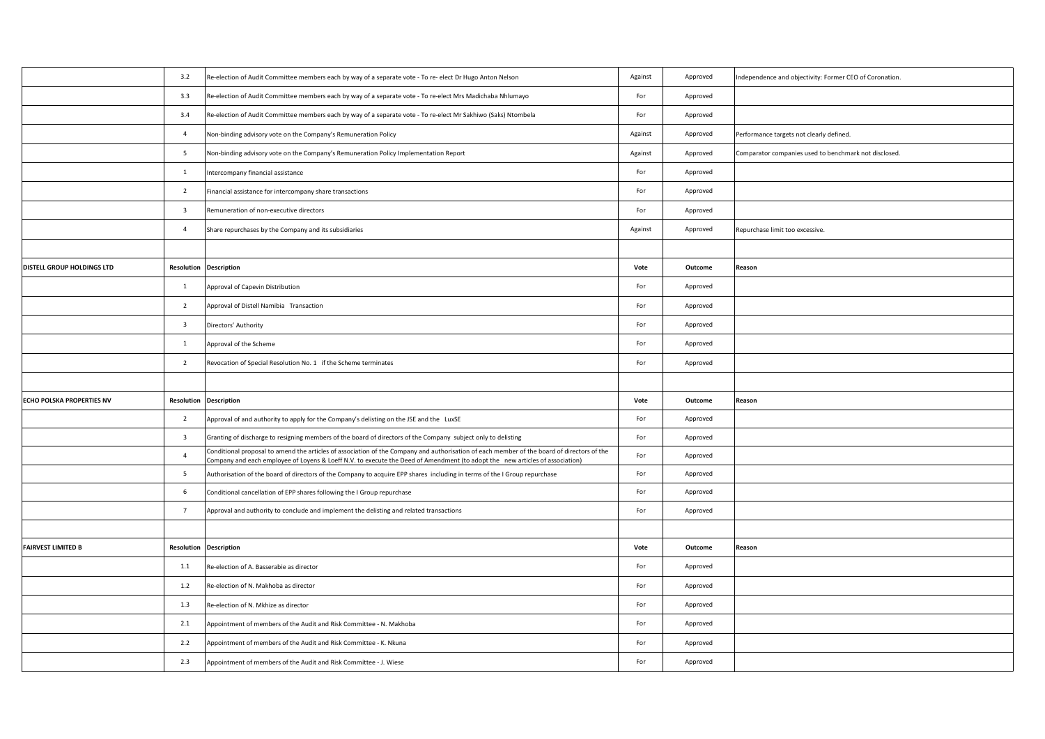|                            | 3.2                     | Re-election of Audit Committee members each by way of a separate vote - To re- elect Dr Hugo Anton Nelson                                                                                                                                                                  | Against | Approved | Independence and objectivity: Former CEO of Coronation. |
|----------------------------|-------------------------|----------------------------------------------------------------------------------------------------------------------------------------------------------------------------------------------------------------------------------------------------------------------------|---------|----------|---------------------------------------------------------|
|                            | 3.3                     | Re-election of Audit Committee members each by way of a separate vote - To re-elect Mrs Madichaba Nhlumayo                                                                                                                                                                 | For     | Approved |                                                         |
|                            | 3.4                     | Re-election of Audit Committee members each by way of a separate vote - To re-elect Mr Sakhiwo (Saks) Ntombela                                                                                                                                                             | For     | Approved |                                                         |
|                            | $\overline{4}$          | Non-binding advisory vote on the Company's Remuneration Policy                                                                                                                                                                                                             | Against | Approved | Performance targets not clearly defined.                |
|                            | $5\overline{5}$         | Non-binding advisory vote on the Company's Remuneration Policy Implementation Report                                                                                                                                                                                       | Against | Approved | Comparator companies used to benchmark not disclosed.   |
|                            | $\mathbf{1}$            | Intercompany financial assistance                                                                                                                                                                                                                                          | For     | Approved |                                                         |
|                            | $\overline{2}$          | Financial assistance for intercompany share transactions                                                                                                                                                                                                                   | For     | Approved |                                                         |
|                            | $\overline{\mathbf{3}}$ | Remuneration of non-executive directors                                                                                                                                                                                                                                    | For     | Approved |                                                         |
|                            | $\overline{4}$          | Share repurchases by the Company and its subsidiaries                                                                                                                                                                                                                      | Against | Approved | Repurchase limit too excessive.                         |
|                            |                         |                                                                                                                                                                                                                                                                            |         |          |                                                         |
| DISTELL GROUP HOLDINGS LTD |                         | <b>Resolution Description</b>                                                                                                                                                                                                                                              | Vote    | Outcome  | Reason                                                  |
|                            | $\mathbf{1}$            | Approval of Capevin Distribution                                                                                                                                                                                                                                           | For     | Approved |                                                         |
|                            | $\overline{2}$          | Approval of Distell Namibia Transaction                                                                                                                                                                                                                                    | For     | Approved |                                                         |
|                            | $\overline{\mathbf{3}}$ | Directors' Authority                                                                                                                                                                                                                                                       | For     | Approved |                                                         |
|                            | $\overline{1}$          | Approval of the Scheme                                                                                                                                                                                                                                                     | For     | Approved |                                                         |
|                            | $\overline{2}$          | Revocation of Special Resolution No. 1 if the Scheme terminates                                                                                                                                                                                                            | For     | Approved |                                                         |
|                            |                         |                                                                                                                                                                                                                                                                            |         |          |                                                         |
| ECHO POLSKA PROPERTIES NV  | Resolution              | <b>Description</b>                                                                                                                                                                                                                                                         | Vote    | Outcome  | Reason                                                  |
|                            | $\overline{2}$          | Approval of and authority to apply for the Company's delisting on the JSE and the LuxSE                                                                                                                                                                                    | For     | Approved |                                                         |
|                            | $\overline{\mathbf{3}}$ | Granting of discharge to resigning members of the board of directors of the Company subject only to delisting                                                                                                                                                              | For     | Approved |                                                         |
|                            | $\overline{4}$          | Conditional proposal to amend the articles of association of the Company and authorisation of each member of the board of directors of the<br>Company and each employee of Loyens & Loeff N.V. to execute the Deed of Amendment (to adopt the new articles of association) | For     | Approved |                                                         |
|                            | 5 <sup>5</sup>          | Authorisation of the board of directors of the Company to acquire EPP shares including in terms of the I Group repurchase                                                                                                                                                  | For     | Approved |                                                         |
|                            | 6                       | Conditional cancellation of EPP shares following the I Group repurchase                                                                                                                                                                                                    | For     | Approved |                                                         |
|                            | $7\overline{ }$         | Approval and authority to conclude and implement the delisting and related transactions                                                                                                                                                                                    | For     | Approved |                                                         |
|                            |                         |                                                                                                                                                                                                                                                                            |         |          |                                                         |
| <b>FAIRVEST LIMITED B</b>  |                         | <b>Resolution Description</b>                                                                                                                                                                                                                                              | Vote    | Outcome  | Reason                                                  |
|                            | 1.1                     | Re-election of A. Basserabie as director                                                                                                                                                                                                                                   | For     | Approved |                                                         |
|                            | 1.2                     | Re-election of N. Makhoba as director                                                                                                                                                                                                                                      | For     | Approved |                                                         |
|                            | 1.3                     | Re-election of N. Mkhize as director                                                                                                                                                                                                                                       | For     | Approved |                                                         |
|                            | 2.1                     | Appointment of members of the Audit and Risk Committee - N. Makhoba                                                                                                                                                                                                        | For     | Approved |                                                         |
|                            | 2.2                     | Appointment of members of the Audit and Risk Committee - K. Nkuna                                                                                                                                                                                                          | For     | Approved |                                                         |
|                            | 2.3                     | Appointment of members of the Audit and Risk Committee - J. Wiese                                                                                                                                                                                                          | For     | Approved |                                                         |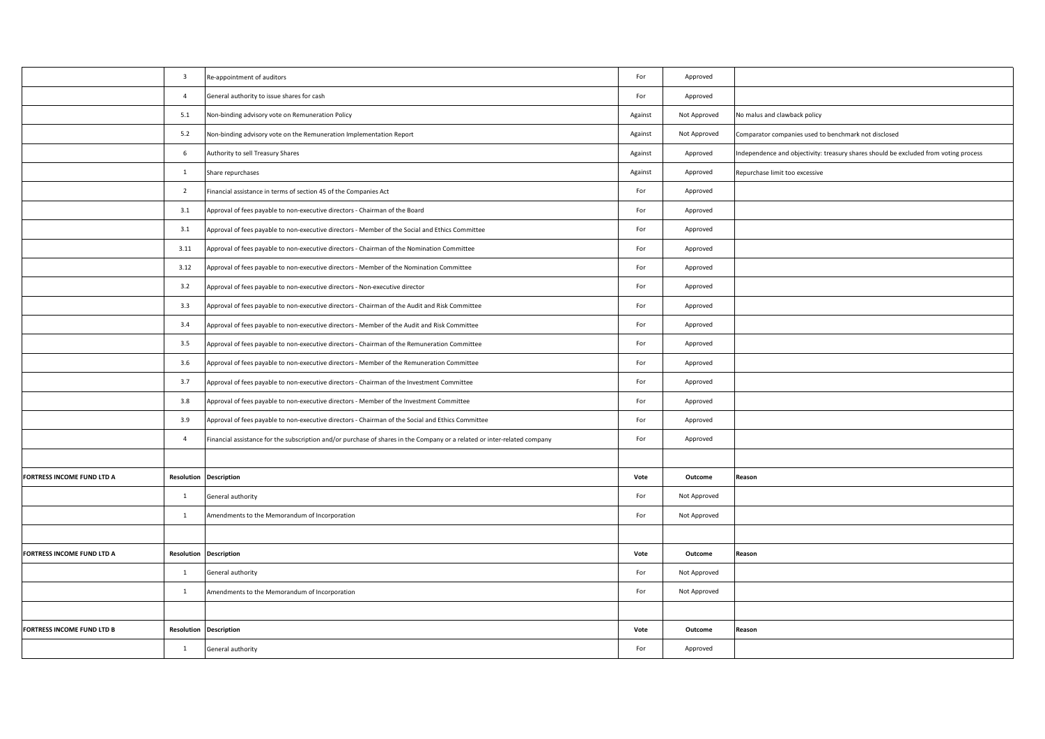|                            | $\overline{\mathbf{3}}$ | Re-appointment of auditors                                                                                               | For     | Approved     |                                                                                      |
|----------------------------|-------------------------|--------------------------------------------------------------------------------------------------------------------------|---------|--------------|--------------------------------------------------------------------------------------|
|                            | $\overline{4}$          | General authority to issue shares for cash                                                                               | For     | Approved     |                                                                                      |
|                            | 5.1                     | Non-binding advisory vote on Remuneration Policy                                                                         | Against | Not Approved | No malus and clawback policy                                                         |
|                            | 5.2                     | Non-binding advisory vote on the Remuneration Implementation Report                                                      | Against | Not Approved | Comparator companies used to benchmark not disclosed                                 |
|                            | 6                       | Authority to sell Treasury Shares                                                                                        | Against | Approved     | Independence and objectivity: treasury shares should be excluded from voting process |
|                            | $\mathbf{1}$            | Share repurchases                                                                                                        | Against | Approved     | Repurchase limit too excessive                                                       |
|                            | $\overline{2}$          | Financial assistance in terms of section 45 of the Companies Act                                                         | For     | Approved     |                                                                                      |
|                            | 3.1                     | Approval of fees payable to non-executive directors - Chairman of the Board                                              | For     | Approved     |                                                                                      |
|                            | 3.1                     | Approval of fees payable to non-executive directors - Member of the Social and Ethics Committee                          | For     | Approved     |                                                                                      |
|                            | 3.11                    | Approval of fees payable to non-executive directors - Chairman of the Nomination Committee                               | For     | Approved     |                                                                                      |
|                            | 3.12                    | Approval of fees payable to non-executive directors - Member of the Nomination Committee                                 | For     | Approved     |                                                                                      |
|                            | 3.2                     | Approval of fees payable to non-executive directors - Non-executive director                                             | For     | Approved     |                                                                                      |
|                            | 3.3                     | Approval of fees payable to non-executive directors - Chairman of the Audit and Risk Committee                           | For     | Approved     |                                                                                      |
|                            | $3.4\,$                 | Approval of fees payable to non-executive directors - Member of the Audit and Risk Committee                             | For     | Approved     |                                                                                      |
|                            | 3.5                     | Approval of fees payable to non-executive directors - Chairman of the Remuneration Committee                             | For     | Approved     |                                                                                      |
|                            | 3.6                     | Approval of fees payable to non-executive directors - Member of the Remuneration Committee                               | For     | Approved     |                                                                                      |
|                            | 3.7                     | Approval of fees payable to non-executive directors - Chairman of the Investment Committee                               | For     | Approved     |                                                                                      |
|                            | 3.8                     | Approval of fees payable to non-executive directors - Member of the Investment Committee                                 | For     | Approved     |                                                                                      |
|                            | 3.9                     | Approval of fees payable to non-executive directors - Chairman of the Social and Ethics Committee                        | For     | Approved     |                                                                                      |
|                            | $\overline{4}$          | Financial assistance for the subscription and/or purchase of shares in the Company or a related or inter-related company | For     | Approved     |                                                                                      |
|                            |                         |                                                                                                                          |         |              |                                                                                      |
| FORTRESS INCOME FUND LTD A | Resolution              | <b>Description</b>                                                                                                       | Vote    | Outcome      | Reason                                                                               |
|                            | $\mathbf{1}$            | General authority                                                                                                        | For     | Not Approved |                                                                                      |
|                            | $\mathbf{1}$            | Amendments to the Memorandum of Incorporation                                                                            | For     | Not Approved |                                                                                      |
|                            |                         |                                                                                                                          |         |              |                                                                                      |
| FORTRESS INCOME FUND LTD A | Resolution              | <b>Description</b>                                                                                                       | Vote    | Outcome      | Reason                                                                               |
|                            | $\mathbf{1}$            | General authority                                                                                                        | For     | Not Approved |                                                                                      |
|                            | $\mathbf{1}$            | Amendments to the Memorandum of Incorporation                                                                            | For     | Not Approved |                                                                                      |
|                            |                         |                                                                                                                          |         |              |                                                                                      |
| FORTRESS INCOME FUND LTD B | Resolution              | <b>Description</b>                                                                                                       | Vote    | Outcome      | Reason                                                                               |
|                            | $\mathbf{1}$            | General authority                                                                                                        | For     | Approved     |                                                                                      |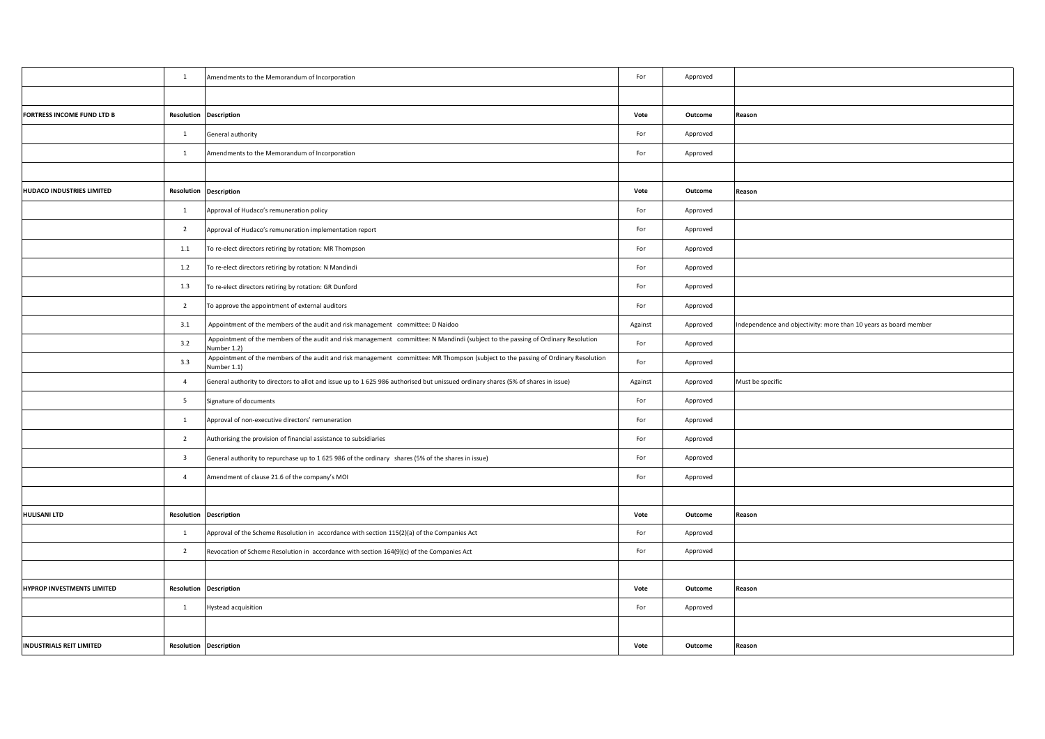|                                 | $\mathbf{1}$            | Amendments to the Memorandum of Incorporation                                                                                                    | For     | Approved |                                                                  |
|---------------------------------|-------------------------|--------------------------------------------------------------------------------------------------------------------------------------------------|---------|----------|------------------------------------------------------------------|
|                                 |                         |                                                                                                                                                  |         |          |                                                                  |
| FORTRESS INCOME FUND LTD B      |                         | <b>Resolution Description</b>                                                                                                                    | Vote    | Outcome  | Reason                                                           |
|                                 | $\mathbf{1}$            | General authority                                                                                                                                | For     | Approved |                                                                  |
|                                 | $\mathbf{1}$            | Amendments to the Memorandum of Incorporation                                                                                                    | For     | Approved |                                                                  |
|                                 |                         |                                                                                                                                                  |         |          |                                                                  |
| HUDACO INDUSTRIES LIMITED       | Resolution              | <b>Description</b>                                                                                                                               | Vote    | Outcome  | Reason                                                           |
|                                 | $\mathbf{1}$            | Approval of Hudaco's remuneration policy                                                                                                         | For     | Approved |                                                                  |
|                                 | $\overline{2}$          | Approval of Hudaco's remuneration implementation report                                                                                          | For     | Approved |                                                                  |
|                                 | $1.1\,$                 | To re-elect directors retiring by rotation: MR Thompson                                                                                          | For     | Approved |                                                                  |
|                                 | 1.2                     | To re-elect directors retiring by rotation: N Mandindi                                                                                           | For     | Approved |                                                                  |
|                                 | 1.3                     | To re-elect directors retiring by rotation: GR Dunford                                                                                           | For     | Approved |                                                                  |
|                                 | $\overline{2}$          | To approve the appointment of external auditors                                                                                                  | For     | Approved |                                                                  |
|                                 | 3.1                     | Appointment of the members of the audit and risk management committee: D Naidoo                                                                  | Against | Approved | Independence and objectivity: more than 10 years as board member |
|                                 | 3.2                     | Appointment of the members of the audit and risk management committee: N Mandindi (subject to the passing of Ordinary Resolution<br>Number 1.2)  | For     | Approved |                                                                  |
|                                 | 3.3                     | Appointment of the members of the audit and risk management committee: MR Thompson (subject to the passing of Ordinary Resolution<br>Number 1.1) | For     | Approved |                                                                  |
|                                 | $\overline{4}$          | General authority to directors to allot and issue up to 1 625 986 authorised but unissued ordinary shares (5% of shares in issue)                | Against | Approved | Must be specific                                                 |
|                                 | $5\overline{5}$         | Signature of documents                                                                                                                           | For     | Approved |                                                                  |
|                                 | $\mathbf{1}$            | Approval of non-executive directors' remuneration                                                                                                | For     | Approved |                                                                  |
|                                 | $\overline{2}$          | Authorising the provision of financial assistance to subsidiaries                                                                                | For     | Approved |                                                                  |
|                                 | $\overline{\mathbf{3}}$ | General authority to repurchase up to 1 625 986 of the ordinary shares (5% of the shares in issue)                                               | For     | Approved |                                                                  |
|                                 | $\overline{4}$          | Amendment of clause 21.6 of the company's MOI                                                                                                    | For     | Approved |                                                                  |
|                                 |                         |                                                                                                                                                  |         |          |                                                                  |
| <b>HULISANI LTD</b>             | Resolution              | <b>Description</b>                                                                                                                               | Vote    | Outcome  | Reason                                                           |
|                                 | $\mathbf{1}$            | Approval of the Scheme Resolution in accordance with section 115(2)(a) of the Companies Act                                                      | For     | Approved |                                                                  |
|                                 | $\overline{2}$          | Revocation of Scheme Resolution in accordance with section 164(9)(c) of the Companies Act                                                        | For     | Approved |                                                                  |
|                                 |                         |                                                                                                                                                  |         |          |                                                                  |
| HYPROP INVESTMENTS LIMITED      |                         | <b>Resolution Description</b>                                                                                                                    | Vote    | Outcome  | Reason                                                           |
|                                 | $\mathbf{1}$            | Hystead acquisition                                                                                                                              | For     | Approved |                                                                  |
|                                 |                         |                                                                                                                                                  |         |          |                                                                  |
| <b>INDUSTRIALS REIT LIMITED</b> |                         | <b>Resolution Description</b>                                                                                                                    | Vote    | Outcome  | Reason                                                           |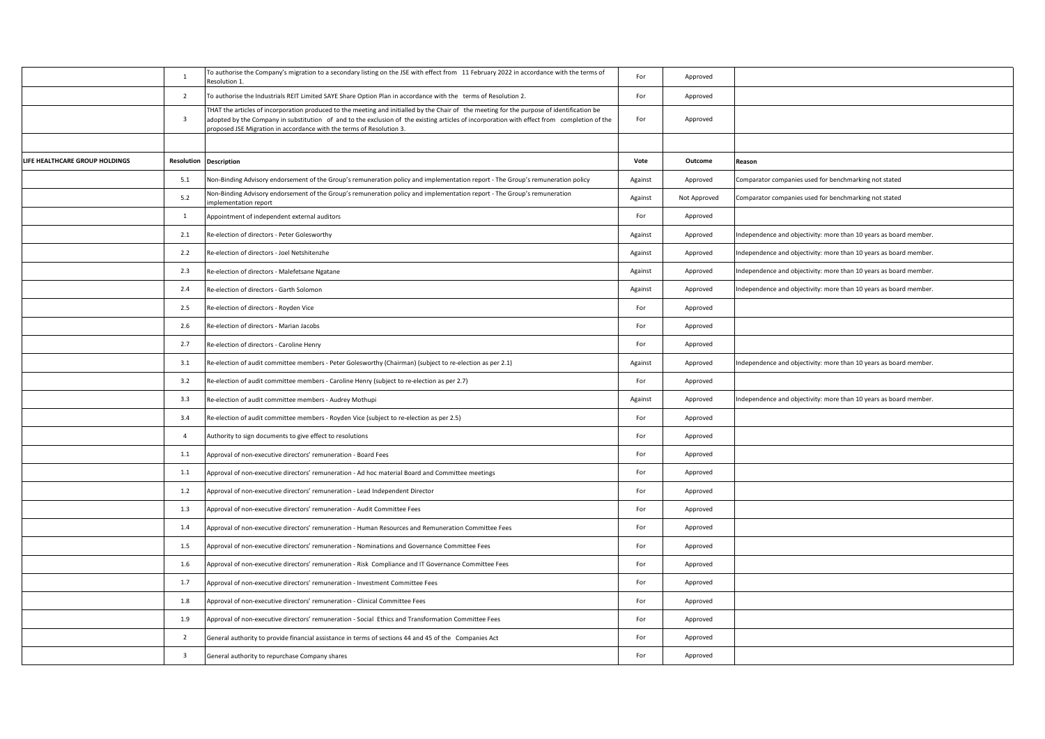|                                | <sup>1</sup>            | To authorise the Company's migration to a secondary listing on the JSE with effect from 11 February 2022 in accordance with the terms of<br>Resolution 1.                                                                                                                                                                                                         | For     | Approved     |                                                                   |
|--------------------------------|-------------------------|-------------------------------------------------------------------------------------------------------------------------------------------------------------------------------------------------------------------------------------------------------------------------------------------------------------------------------------------------------------------|---------|--------------|-------------------------------------------------------------------|
|                                | $\overline{2}$          | To authorise the Industrials REIT Limited SAYE Share Option Plan in accordance with the terms of Resolution 2.                                                                                                                                                                                                                                                    | For     | Approved     |                                                                   |
|                                | $\overline{\mathbf{3}}$ | THAT the articles of incorporation produced to the meeting and initialled by the Chair of the meeting for the purpose of identification be<br>adopted by the Company in substitution of and to the exclusion of the existing articles of incorporation with effect from completion of the<br>proposed JSE Migration in accordance with the terms of Resolution 3. | For     | Approved     |                                                                   |
|                                |                         |                                                                                                                                                                                                                                                                                                                                                                   |         |              |                                                                   |
| LIFE HEALTHCARE GROUP HOLDINGS |                         | <b>Resolution Description</b>                                                                                                                                                                                                                                                                                                                                     | Vote    | Outcome      | Reason                                                            |
|                                | 5.1                     | Non-Binding Advisory endorsement of the Group's remuneration policy and implementation report - The Group's remuneration policy                                                                                                                                                                                                                                   | Against | Approved     | Comparator companies used for benchmarking not stated             |
|                                | 5.2                     | Non-Binding Advisory endorsement of the Group's remuneration policy and implementation report - The Group's remuneration<br>mplementation report                                                                                                                                                                                                                  | Against | Not Approved | Comparator companies used for benchmarking not stated             |
|                                | $\mathbf{1}$            | Appointment of independent external auditors                                                                                                                                                                                                                                                                                                                      | For     | Approved     |                                                                   |
|                                | 2.1                     | Re-election of directors - Peter Golesworthy                                                                                                                                                                                                                                                                                                                      | Against | Approved     | Independence and objectivity: more than 10 years as board member. |
|                                | 2.2                     | Re-election of directors - Joel Netshitenzhe                                                                                                                                                                                                                                                                                                                      | Against | Approved     | Independence and objectivity: more than 10 years as board member. |
|                                | 2.3                     | Re-election of directors - Malefetsane Ngatane                                                                                                                                                                                                                                                                                                                    | Against | Approved     | Independence and objectivity: more than 10 years as board member. |
|                                | 2.4                     | Re-election of directors - Garth Solomon                                                                                                                                                                                                                                                                                                                          | Against | Approved     | Independence and objectivity: more than 10 years as board member. |
|                                | 2.5                     | Re-election of directors - Royden Vice                                                                                                                                                                                                                                                                                                                            | For     | Approved     |                                                                   |
|                                | 2.6                     | Re-election of directors - Marian Jacobs                                                                                                                                                                                                                                                                                                                          | For     | Approved     |                                                                   |
|                                | 2.7                     | Re-election of directors - Caroline Henry                                                                                                                                                                                                                                                                                                                         | For     | Approved     |                                                                   |
|                                | 3.1                     | Re-election of audit committee members - Peter Golesworthy (Chairman) (subject to re-election as per 2.1)                                                                                                                                                                                                                                                         | Against | Approved     | Independence and objectivity: more than 10 years as board member. |
|                                | 3.2                     | Re-election of audit committee members - Caroline Henry (subject to re-election as per 2.7)                                                                                                                                                                                                                                                                       | For     | Approved     |                                                                   |
|                                | 3.3                     | Re-election of audit committee members - Audrey Mothupi                                                                                                                                                                                                                                                                                                           | Against | Approved     | Independence and objectivity: more than 10 years as board member. |
|                                | 3.4                     | Re-election of audit committee members - Royden Vice (subject to re-election as per 2.5)                                                                                                                                                                                                                                                                          | For     | Approved     |                                                                   |
|                                | $\overline{4}$          | Authority to sign documents to give effect to resolutions                                                                                                                                                                                                                                                                                                         | For     | Approved     |                                                                   |
|                                | 1.1                     | Approval of non-executive directors' remuneration - Board Fees                                                                                                                                                                                                                                                                                                    | For     | Approved     |                                                                   |
|                                | 1.1                     | Approval of non-executive directors' remuneration - Ad hoc material Board and Committee meetings                                                                                                                                                                                                                                                                  | For     | Approved     |                                                                   |
|                                | 1.2                     | Approval of non-executive directors' remuneration - Lead Independent Director                                                                                                                                                                                                                                                                                     | For     | Approved     |                                                                   |
|                                | 1.3                     | Approval of non-executive directors' remuneration - Audit Committee Fees                                                                                                                                                                                                                                                                                          | For     | Approved     |                                                                   |
|                                | $1.4$                   | Approval of non-executive directors' remuneration - Human Resources and Remuneration Committee Fees                                                                                                                                                                                                                                                               | For     | Approved     |                                                                   |
|                                | 1.5                     | Approval of non-executive directors' remuneration - Nominations and Governance Committee Fees                                                                                                                                                                                                                                                                     | For     | Approved     |                                                                   |
|                                | 1.6                     | Approval of non-executive directors' remuneration - Risk Compliance and IT Governance Committee Fees                                                                                                                                                                                                                                                              | For     | Approved     |                                                                   |
|                                | 1.7                     | Approval of non-executive directors' remuneration - Investment Committee Fees                                                                                                                                                                                                                                                                                     | For     | Approved     |                                                                   |
|                                | 1.8                     | Approval of non-executive directors' remuneration - Clinical Committee Fees                                                                                                                                                                                                                                                                                       | For     | Approved     |                                                                   |
|                                | 1.9                     | Approval of non-executive directors' remuneration - Social Ethics and Transformation Committee Fees                                                                                                                                                                                                                                                               | For     | Approved     |                                                                   |
|                                | $\overline{2}$          | General authority to provide financial assistance in terms of sections 44 and 45 of the Companies Act                                                                                                                                                                                                                                                             | For     | Approved     |                                                                   |
|                                | $\overline{\mathbf{3}}$ | General authority to repurchase Company shares                                                                                                                                                                                                                                                                                                                    | For     | Approved     |                                                                   |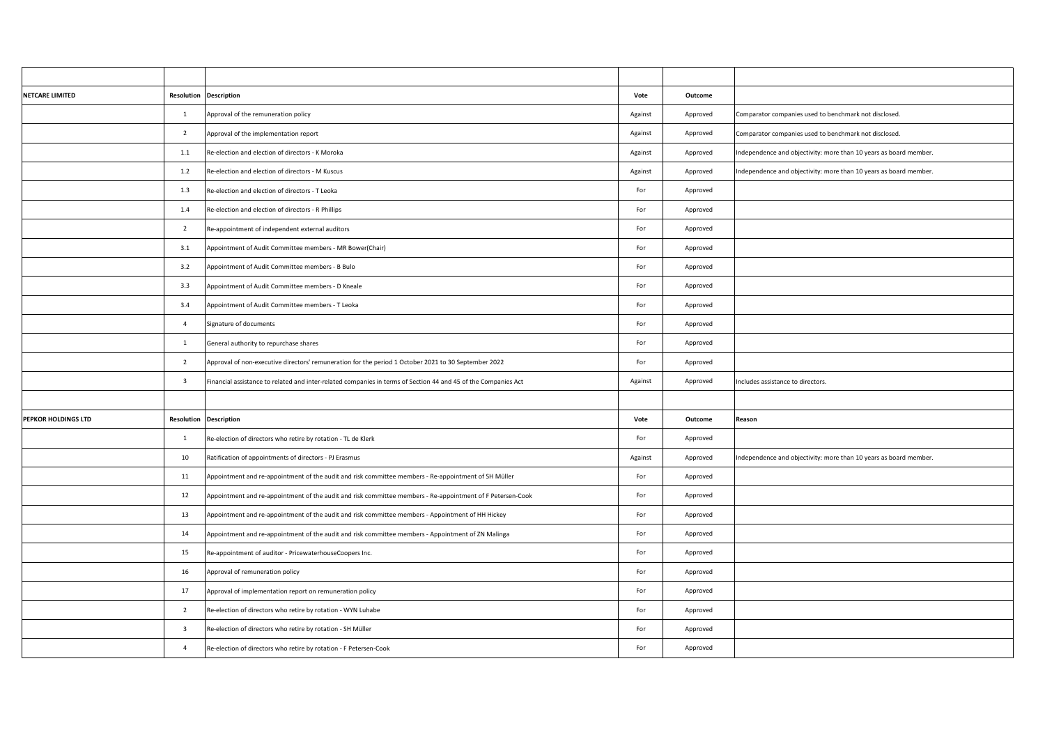| <b>NETCARE LIMITED</b> | <b>Resolution Description</b> |                                                                                                                | Vote    | Outcome  |                                                                   |
|------------------------|-------------------------------|----------------------------------------------------------------------------------------------------------------|---------|----------|-------------------------------------------------------------------|
|                        | $\mathbf{1}$                  | Approval of the remuneration policy                                                                            | Against | Approved | Comparator companies used to benchmark not disclosed.             |
|                        | $\overline{2}$                | Approval of the implementation report                                                                          | Against | Approved | Comparator companies used to benchmark not disclosed.             |
|                        | 1.1                           | Re-election and election of directors - K Moroka                                                               | Against | Approved | Independence and objectivity: more than 10 years as board member. |
|                        | 1.2                           | Re-election and election of directors - M Kuscus                                                               | Against | Approved | Independence and objectivity: more than 10 years as board member. |
|                        | 1.3                           | Re-election and election of directors - T Leoka                                                                | For     | Approved |                                                                   |
|                        | 1.4                           | Re-election and election of directors - R Phillips                                                             | For     | Approved |                                                                   |
|                        | $\overline{2}$                | Re-appointment of independent external auditors                                                                | For     | Approved |                                                                   |
|                        | 3.1                           | Appointment of Audit Committee members - MR Bower(Chair)                                                       | For     | Approved |                                                                   |
|                        | 3.2                           | Appointment of Audit Committee members - B Bulo                                                                | For     | Approved |                                                                   |
|                        | 3.3                           | Appointment of Audit Committee members - D Kneale                                                              | For     | Approved |                                                                   |
|                        | 3.4                           | Appointment of Audit Committee members - T Leoka                                                               | For     | Approved |                                                                   |
|                        | $\overline{4}$                | Signature of documents                                                                                         | For     | Approved |                                                                   |
|                        | $\mathbf{1}$                  | General authority to repurchase shares                                                                         | For     | Approved |                                                                   |
|                        | $\overline{2}$                | Approval of non-executive directors' remuneration for the period 1 October 2021 to 30 September 2022           | For     | Approved |                                                                   |
|                        | $\overline{\mathbf{3}}$       | Financial assistance to related and inter-related companies in terms of Section 44 and 45 of the Companies Act | Against | Approved | Includes assistance to directors.                                 |
|                        |                               |                                                                                                                |         |          |                                                                   |
| PEPKOR HOLDINGS LTD    | <b>Resolution Description</b> |                                                                                                                | Vote    | Outcome  | Reason                                                            |
|                        | $\mathbf{1}$                  | Re-election of directors who retire by rotation - TL de Klerk                                                  | For     | Approved |                                                                   |
|                        | 10                            | Ratification of appointments of directors - PJ Erasmus                                                         | Against | Approved | Independence and objectivity: more than 10 years as board member. |
|                        | 11                            | Appointment and re-appointment of the audit and risk committee members - Re-appointment of SH Müller           | For     | Approved |                                                                   |
|                        | 12                            | Appointment and re-appointment of the audit and risk committee members - Re-appointment of F Petersen-Cook     | For     | Approved |                                                                   |
|                        | 13                            | Appointment and re-appointment of the audit and risk committee members - Appointment of HH Hickey              | For     | Approved |                                                                   |
|                        | 14                            | Appointment and re-appointment of the audit and risk committee members - Appointment of ZN Malinga             | For     | Approved |                                                                   |
|                        | 15                            | Re-appointment of auditor - PricewaterhouseCoopers Inc.                                                        | For     | Approved |                                                                   |
|                        | 16                            | Approval of remuneration policy                                                                                | For     | Approved |                                                                   |
|                        | 17                            | Approval of implementation report on remuneration policy                                                       | For     | Approved |                                                                   |
|                        | $\overline{2}$                | Re-election of directors who retire by rotation - WYN Luhabe                                                   | For     | Approved |                                                                   |
|                        | $\overline{\mathbf{3}}$       | Re-election of directors who retire by rotation - SH Müller                                                    | For     | Approved |                                                                   |
|                        | $\overline{4}$                | Re-election of directors who retire by rotation - F Petersen-Cook                                              | For     | Approved |                                                                   |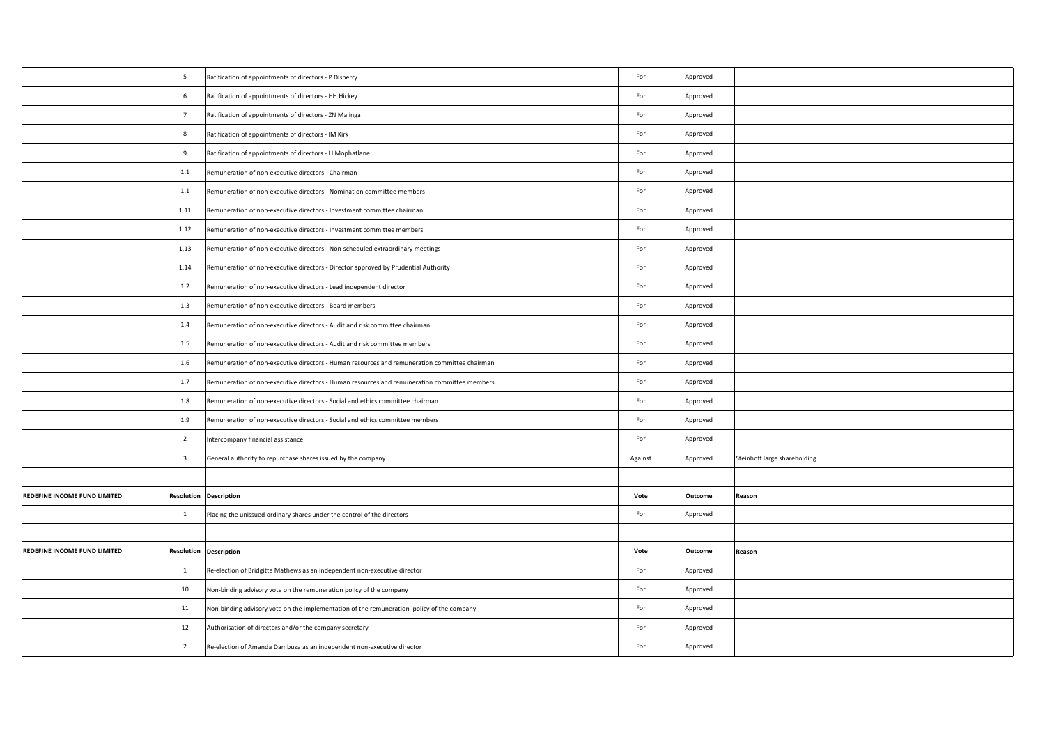|                              | 5                       | Ratification of appointments of directors - P Disberry                                        | For                         | Approved |                               |
|------------------------------|-------------------------|-----------------------------------------------------------------------------------------------|-----------------------------|----------|-------------------------------|
|                              |                         |                                                                                               |                             |          |                               |
|                              | 6                       | Ratification of appointments of directors - HH Hickey                                         | For                         | Approved |                               |
|                              | $7\overline{ }$         | Ratification of appointments of directors - ZN Malinga                                        | For                         | Approved |                               |
|                              | 8                       | Ratification of appointments of directors - IM Kirk                                           | For                         | Approved |                               |
|                              | 9                       | Ratification of appointments of directors - LI Mophatlane                                     | For                         | Approved |                               |
|                              | $1.1\,$                 | Remuneration of non-executive directors - Chairman                                            | For                         | Approved |                               |
|                              | 1.1                     | Remuneration of non-executive directors - Nomination committee members                        | For                         | Approved |                               |
|                              | 1.11                    | Remuneration of non-executive directors - Investment committee chairman                       | For                         | Approved |                               |
|                              | 1.12                    | Remuneration of non-executive directors - Investment committee members                        | For                         | Approved |                               |
|                              | 1.13                    | Remuneration of non-executive directors - Non-scheduled extraordinary meetings                | For                         | Approved |                               |
|                              | 1.14                    | Remuneration of non-executive directors - Director approved by Prudential Authority           | For                         | Approved |                               |
|                              | 1.2                     | Remuneration of non-executive directors - Lead independent director                           | For                         | Approved |                               |
|                              | 1.3                     | Remuneration of non-executive directors - Board members                                       | For                         | Approved |                               |
|                              | 1.4                     | Remuneration of non-executive directors - Audit and risk committee chairman                   | For                         | Approved |                               |
|                              | 1.5                     | Remuneration of non-executive directors - Audit and risk committee members                    | For                         | Approved |                               |
|                              | 1.6                     | Remuneration of non-executive directors - Human resources and remuneration committee chairman | For                         | Approved |                               |
|                              | 1.7                     | Remuneration of non-executive directors - Human resources and remuneration committee members  | For                         | Approved |                               |
|                              | 1.8                     | Remuneration of non-executive directors - Social and ethics committee chairman                | For                         | Approved |                               |
|                              | 1.9                     | Remuneration of non-executive directors - Social and ethics committee members                 | For                         | Approved |                               |
|                              | $\overline{2}$          | Intercompany financial assistance                                                             | For                         | Approved |                               |
|                              | $\overline{\mathbf{3}}$ | General authority to repurchase shares issued by the company                                  | Against                     | Approved | Steinhoff large shareholding. |
|                              |                         |                                                                                               |                             |          |                               |
| REDEFINE INCOME FUND LIMITED |                         | <b>Resolution Description</b>                                                                 | Vote                        | Outcome  | Reason                        |
|                              | $\mathbf{1}$            | Placing the unissued ordinary shares under the control of the directors                       | For                         | Approved |                               |
|                              |                         |                                                                                               |                             |          |                               |
| REDEFINE INCOME FUND LIMITED |                         | <b>Resolution Description</b>                                                                 | Vote                        | Outcome  | Reason                        |
|                              | $\overline{1}$          | Re-election of Bridgitte Mathews as an independent non-executive director                     | $\ensuremath{\mathsf{For}}$ | Approved |                               |
|                              | 10                      | Non-binding advisory vote on the remuneration policy of the company                           | For                         | Approved |                               |
|                              | 11                      | Non-binding advisory vote on the implementation of the remuneration policy of the company     | For                         | Approved |                               |
|                              | 12                      | Authorisation of directors and/or the company secretary                                       | For                         | Approved |                               |
|                              | $\overline{2}$          | Re-election of Amanda Dambuza as an independent non-executive director                        | For                         | Approved |                               |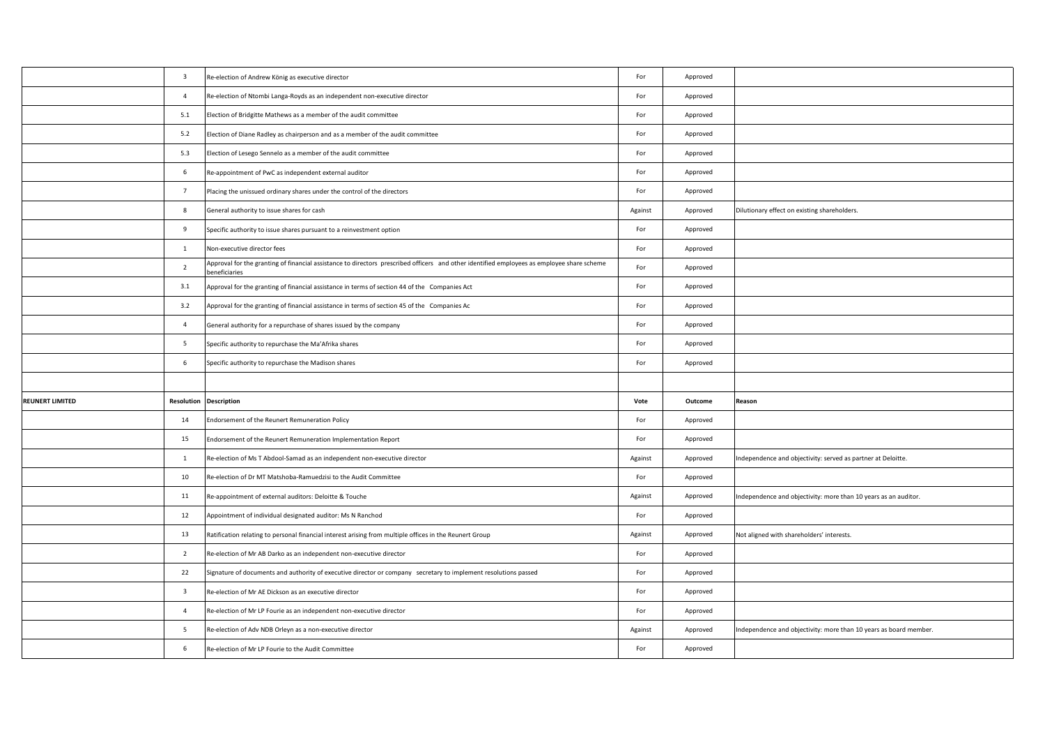|                        | $\overline{\mathbf{3}}$ | Re-election of Andrew König as executive director                                                                                                           | For     | Approved |                                                                   |
|------------------------|-------------------------|-------------------------------------------------------------------------------------------------------------------------------------------------------------|---------|----------|-------------------------------------------------------------------|
|                        | $\overline{4}$          | Re-election of Ntombi Langa-Royds as an independent non-executive director                                                                                  | For     | Approved |                                                                   |
|                        | 5.1                     | Election of Bridgitte Mathews as a member of the audit committee                                                                                            | For     | Approved |                                                                   |
|                        | 5.2                     | Election of Diane Radley as chairperson and as a member of the audit committee                                                                              | For     | Approved |                                                                   |
|                        | 5.3                     | Election of Lesego Sennelo as a member of the audit committee                                                                                               | For     | Approved |                                                                   |
|                        | 6                       | Re-appointment of PwC as independent external auditor                                                                                                       | For     | Approved |                                                                   |
|                        | $7\overline{ }$         | Placing the unissued ordinary shares under the control of the directors                                                                                     | For     | Approved |                                                                   |
|                        | 8                       | General authority to issue shares for cash                                                                                                                  | Against | Approved | Dilutionary effect on existing shareholders.                      |
|                        | 9                       | Specific authority to issue shares pursuant to a reinvestment option                                                                                        | For     | Approved |                                                                   |
|                        | $\mathbf{1}$            | Non-executive director fees                                                                                                                                 | For     | Approved |                                                                   |
|                        | $\overline{2}$          | Approval for the granting of financial assistance to directors prescribed officers and other identified employees as employee share scheme<br>beneficiaries | For     | Approved |                                                                   |
|                        | 3.1                     | Approval for the granting of financial assistance in terms of section 44 of the Companies Act                                                               | For     | Approved |                                                                   |
|                        | 3.2                     | Approval for the granting of financial assistance in terms of section 45 of the Companies Ac                                                                | For     | Approved |                                                                   |
|                        | $\overline{4}$          | General authority for a repurchase of shares issued by the company                                                                                          | For     | Approved |                                                                   |
|                        | $5\overline{5}$         | Specific authority to repurchase the Ma'Afrika shares                                                                                                       | For     | Approved |                                                                   |
|                        | 6                       | Specific authority to repurchase the Madison shares                                                                                                         | For     | Approved |                                                                   |
|                        |                         |                                                                                                                                                             |         |          |                                                                   |
| <b>REUNERT LIMITED</b> | Resolution              | <b>Description</b>                                                                                                                                          | Vote    | Outcome  | Reason                                                            |
|                        | 14                      | Endorsement of the Reunert Remuneration Policy                                                                                                              | For     | Approved |                                                                   |
|                        | 15                      | Endorsement of the Reunert Remuneration Implementation Report                                                                                               | For     | Approved |                                                                   |
|                        | $\overline{1}$          | Re-election of Ms T Abdool-Samad as an independent non-executive director                                                                                   | Against | Approved |                                                                   |
|                        |                         |                                                                                                                                                             |         |          | Independence and objectivity: served as partner at Deloitte.      |
|                        | 10                      | Re-election of Dr MT Matshoba-Ramuedzisi to the Audit Committee                                                                                             | For     | Approved |                                                                   |
|                        | 11                      | Re-appointment of external auditors: Deloitte & Touche                                                                                                      | Against | Approved | Independence and objectivity: more than 10 years as an auditor.   |
|                        | 12                      | Appointment of individual designated auditor: Ms N Ranchod                                                                                                  | For     | Approved |                                                                   |
|                        | 13                      | Ratification relating to personal financial interest arising from multiple offices in the Reunert Group                                                     | Against | Approved | Not aligned with shareholders' interests.                         |
|                        | $\overline{2}$          | Re-election of Mr AB Darko as an independent non-executive director                                                                                         | For     | Approved |                                                                   |
|                        | 22                      | Signature of documents and authority of executive director or company secretary to implement resolutions passed                                             | For     | Approved |                                                                   |
|                        | $\overline{\mathbf{3}}$ | Re-election of Mr AE Dickson as an executive director                                                                                                       | For     | Approved |                                                                   |
|                        | $\overline{4}$          | Re-election of Mr LP Fourie as an independent non-executive director                                                                                        | For     | Approved |                                                                   |
|                        | 5                       | Re-election of Adv NDB Orleyn as a non-executive director                                                                                                   | Against | Approved | Independence and objectivity: more than 10 years as board member. |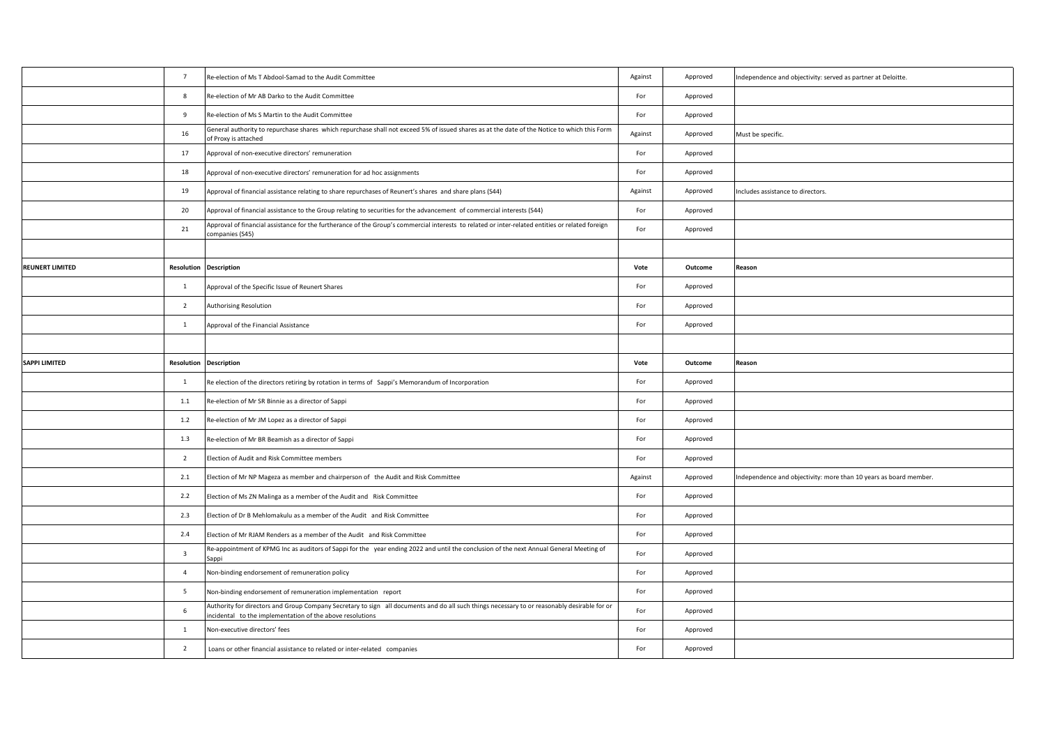|                        | $7\overline{ }$         | Re-election of Ms T Abdool-Samad to the Audit Committee                                                                                                                                                   | Against | Approved | Independence and objectivity: served as partner at Deloitte.      |
|------------------------|-------------------------|-----------------------------------------------------------------------------------------------------------------------------------------------------------------------------------------------------------|---------|----------|-------------------------------------------------------------------|
|                        | 8                       | Re-election of Mr AB Darko to the Audit Committee                                                                                                                                                         | For     | Approved |                                                                   |
|                        | 9                       | Re-election of Ms S Martin to the Audit Committee                                                                                                                                                         | For     | Approved |                                                                   |
|                        | 16                      | General authority to repurchase shares which repurchase shall not exceed 5% of issued shares as at the date of the Notice to which this Form<br>of Proxy is attached                                      | Against | Approved | Must be specific.                                                 |
|                        | 17                      | Approval of non-executive directors' remuneration                                                                                                                                                         | For     | Approved |                                                                   |
|                        | 18                      | Approval of non-executive directors' remuneration for ad hoc assignments                                                                                                                                  | For     | Approved |                                                                   |
|                        | 19                      | Approval of financial assistance relating to share repurchases of Reunert's shares and share plans (S44)                                                                                                  | Against | Approved | Includes assistance to directors.                                 |
|                        | 20                      | Approval of financial assistance to the Group relating to securities for the advancement of commercial interests (S44)                                                                                    | For     | Approved |                                                                   |
|                        | 21                      | Approval of financial assistance for the furtherance of the Group's commercial interests to related or inter-related entities or related foreign<br>companies (S45)                                       | For     | Approved |                                                                   |
|                        |                         |                                                                                                                                                                                                           |         |          |                                                                   |
| <b>REUNERT LIMITED</b> | Resolution              | <b>Description</b>                                                                                                                                                                                        | Vote    | Outcome  | Reason                                                            |
|                        | $\mathbf{1}$            | Approval of the Specific Issue of Reunert Shares                                                                                                                                                          | For     | Approved |                                                                   |
|                        | $\overline{2}$          | Authorising Resolution                                                                                                                                                                                    | For     | Approved |                                                                   |
|                        | $\mathbf{1}$            | Approval of the Financial Assistance                                                                                                                                                                      | For     | Approved |                                                                   |
|                        |                         |                                                                                                                                                                                                           |         |          |                                                                   |
| SAPPI LIMITED          | Resolution              | <b>Description</b>                                                                                                                                                                                        | Vote    | Outcome  | Reason                                                            |
|                        | $\mathbf{1}$            | Re election of the directors retiring by rotation in terms of Sappi's Memorandum of Incorporation                                                                                                         | For     | Approved |                                                                   |
|                        | $1.1\,$                 | Re-election of Mr SR Binnie as a director of Sappi                                                                                                                                                        | For     | Approved |                                                                   |
|                        | $1.2$                   | Re-election of Mr JM Lopez as a director of Sappi                                                                                                                                                         | For     | Approved |                                                                   |
|                        | 1.3                     | Re-election of Mr BR Beamish as a director of Sappi                                                                                                                                                       | For     | Approved |                                                                   |
|                        | $\overline{2}$          | Election of Audit and Risk Committee members                                                                                                                                                              | For     | Approved |                                                                   |
|                        | 2.1                     | Election of Mr NP Mageza as member and chairperson of the Audit and Risk Committee                                                                                                                        | Against | Approved | Independence and objectivity: more than 10 years as board member. |
|                        | 2.2                     | Election of Ms ZN Malinga as a member of the Audit and Risk Committee                                                                                                                                     | For     | Approved |                                                                   |
|                        | 2.3                     | Election of Dr B Mehlomakulu as a member of the Audit and Risk Committee                                                                                                                                  | For     | Approved |                                                                   |
|                        | 2.4                     | Election of Mr RJAM Renders as a member of the Audit and Risk Committee                                                                                                                                   | For     | Approved |                                                                   |
|                        | $\overline{\mathbf{3}}$ | Re-appointment of KPMG Inc as auditors of Sappi for the year ending 2022 and until the conclusion of the next Annual General Meeting of<br>Sappi                                                          | For     | Approved |                                                                   |
|                        | $\overline{4}$          | Non-binding endorsement of remuneration policy                                                                                                                                                            | For     | Approved |                                                                   |
|                        | 5                       | Non-binding endorsement of remuneration implementation report                                                                                                                                             | For     | Approved |                                                                   |
|                        | 6                       | Authority for directors and Group Company Secretary to sign all documents and do all such things necessary to or reasonably desirable for or<br>incidental to the implementation of the above resolutions | For     | Approved |                                                                   |
|                        | $\mathbf{1}$            | Non-executive directors' fees                                                                                                                                                                             | For     | Approved |                                                                   |
|                        | $\overline{2}$          | Loans or other financial assistance to related or inter-related companies                                                                                                                                 | For     | Approved |                                                                   |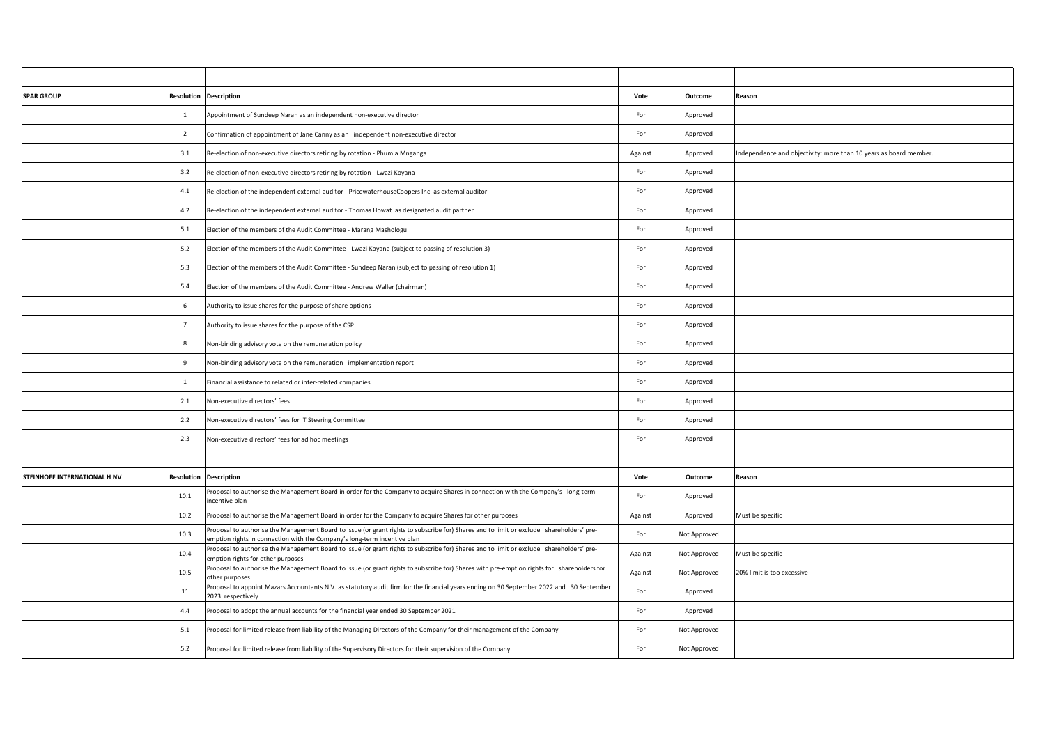| <b>SPAR GROUP</b>            |                 | <b>Resolution Description</b>                                                                                                                                                                                        | Vote    | Outcome      | Reason                                                            |
|------------------------------|-----------------|----------------------------------------------------------------------------------------------------------------------------------------------------------------------------------------------------------------------|---------|--------------|-------------------------------------------------------------------|
|                              | $\mathbf{1}$    | Appointment of Sundeep Naran as an independent non-executive director                                                                                                                                                | For     | Approved     |                                                                   |
|                              | $\overline{2}$  | Confirmation of appointment of Jane Canny as an independent non-executive director                                                                                                                                   | For     | Approved     |                                                                   |
|                              | 3.1             | Re-election of non-executive directors retiring by rotation - Phumla Mnganga                                                                                                                                         | Against | Approved     | Independence and objectivity: more than 10 years as board member. |
|                              | 3.2             | Re-election of non-executive directors retiring by rotation - Lwazi Koyana                                                                                                                                           | For     | Approved     |                                                                   |
|                              | 4.1             | Re-election of the independent external auditor - PricewaterhouseCoopers Inc. as external auditor                                                                                                                    | For     | Approved     |                                                                   |
|                              | 4.2             | Re-election of the independent external auditor - Thomas Howat as designated audit partner                                                                                                                           | For     | Approved     |                                                                   |
|                              | 5.1             | Election of the members of the Audit Committee - Marang Mashologu                                                                                                                                                    | For     | Approved     |                                                                   |
|                              | 5.2             | Election of the members of the Audit Committee - Lwazi Koyana (subject to passing of resolution 3)                                                                                                                   | For     | Approved     |                                                                   |
|                              | 5.3             | Election of the members of the Audit Committee - Sundeep Naran (subject to passing of resolution 1)                                                                                                                  | For     | Approved     |                                                                   |
|                              | 5.4             | Election of the members of the Audit Committee - Andrew Waller (chairman)                                                                                                                                            | For     | Approved     |                                                                   |
|                              | 6               | Authority to issue shares for the purpose of share options                                                                                                                                                           | For     | Approved     |                                                                   |
|                              | $7\overline{ }$ | Authority to issue shares for the purpose of the CSP                                                                                                                                                                 | For     | Approved     |                                                                   |
|                              | 8               | Non-binding advisory vote on the remuneration policy                                                                                                                                                                 | For     | Approved     |                                                                   |
|                              | 9               | Non-binding advisory vote on the remuneration implementation report                                                                                                                                                  | For     | Approved     |                                                                   |
|                              | $\mathbf{1}$    | Financial assistance to related or inter-related companies                                                                                                                                                           | For     | Approved     |                                                                   |
|                              | 2.1             | Non-executive directors' fees                                                                                                                                                                                        | For     | Approved     |                                                                   |
|                              | 2.2             | Non-executive directors' fees for IT Steering Committee                                                                                                                                                              | For     | Approved     |                                                                   |
|                              | 2.3             | Non-executive directors' fees for ad hoc meetings                                                                                                                                                                    | For     | Approved     |                                                                   |
|                              |                 |                                                                                                                                                                                                                      |         |              |                                                                   |
| STEINHOFF INTERNATIONAL H NV | Resolution      | <b>Description</b>                                                                                                                                                                                                   | Vote    | Outcome      | Reason                                                            |
|                              | 10.1            | Proposal to authorise the Management Board in order for the Company to acquire Shares in connection with the Company's long-term<br>incentive plan                                                                   | For     | Approved     |                                                                   |
|                              | 10.2            | Proposal to authorise the Management Board in order for the Company to acquire Shares for other purposes                                                                                                             | Against | Approved     | Must be specific                                                  |
|                              | 10.3            | Proposal to authorise the Management Board to issue (or grant rights to subscribe for) Shares and to limit or exclude shareholders' pre-<br>emption rights in connection with the Company's long-term incentive plan | For     | Not Approved |                                                                   |
|                              | 10.4            | Proposal to authorise the Management Board to issue (or grant rights to subscribe for) Shares and to limit or exclude shareholders' pre-<br>emption rights for other purposes                                        | Against | Not Approved | Must be specific                                                  |
|                              | 10.5            | Proposal to authorise the Management Board to issue (or grant rights to subscribe for) Shares with pre-emption rights for shareholders for<br>other purposes                                                         | Against | Not Approved | 20% limit is too excessive                                        |
|                              | 11              | Proposal to appoint Mazars Accountants N.V. as statutory audit firm for the financial years ending on 30 September 2022 and 30 September<br>2023 respectively                                                        | For     | Approved     |                                                                   |
|                              | 4.4             | Proposal to adopt the annual accounts for the financial year ended 30 September 2021                                                                                                                                 | For     | Approved     |                                                                   |
|                              | 5.1             | Proposal for limited release from liability of the Managing Directors of the Company for their management of the Company                                                                                             | For     | Not Approved |                                                                   |
|                              | 5.2             | Proposal for limited release from liability of the Supervisory Directors for their supervision of the Company                                                                                                        | For     | Not Approved |                                                                   |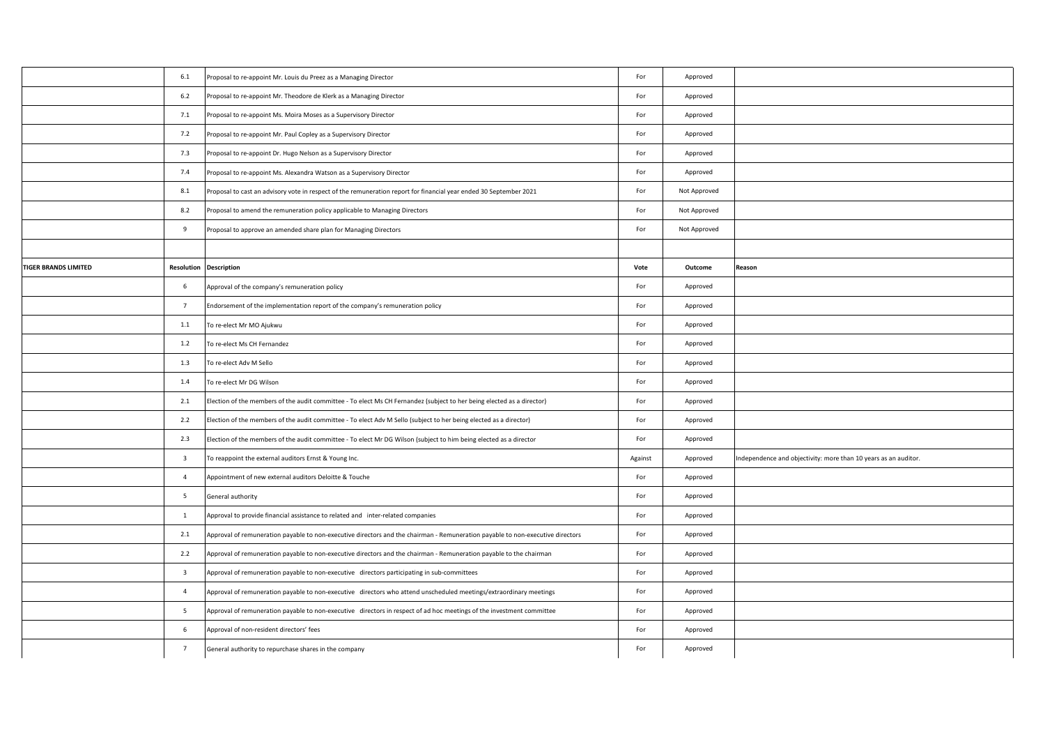|                             | 6.1                     | Proposal to re-appoint Mr. Louis du Preez as a Managing Director                                                               | For     | Approved     |                                                                 |
|-----------------------------|-------------------------|--------------------------------------------------------------------------------------------------------------------------------|---------|--------------|-----------------------------------------------------------------|
|                             | 6.2                     | Proposal to re-appoint Mr. Theodore de Klerk as a Managing Director                                                            | For     | Approved     |                                                                 |
|                             | 7.1                     | Proposal to re-appoint Ms. Moira Moses as a Supervisory Director                                                               | For     | Approved     |                                                                 |
|                             | 7.2                     | Proposal to re-appoint Mr. Paul Copley as a Supervisory Director                                                               | For     | Approved     |                                                                 |
|                             | 7.3                     | Proposal to re-appoint Dr. Hugo Nelson as a Supervisory Director                                                               | For     | Approved     |                                                                 |
|                             | 7.4                     | Proposal to re-appoint Ms. Alexandra Watson as a Supervisory Director                                                          | For     | Approved     |                                                                 |
|                             | 8.1                     | Proposal to cast an advisory vote in respect of the remuneration report for financial year ended 30 September 2021             | For     | Not Approved |                                                                 |
|                             | 8.2                     | Proposal to amend the remuneration policy applicable to Managing Directors                                                     | For     | Not Approved |                                                                 |
|                             | 9                       | Proposal to approve an amended share plan for Managing Directors                                                               | For     | Not Approved |                                                                 |
|                             |                         |                                                                                                                                |         |              |                                                                 |
| <b>TIGER BRANDS LIMITED</b> | Resolution              | <b>Description</b>                                                                                                             | Vote    | Outcome      | Reason                                                          |
|                             | 6                       | Approval of the company's remuneration policy                                                                                  | For     | Approved     |                                                                 |
|                             | $7\overline{ }$         | Endorsement of the implementation report of the company's remuneration policy                                                  | For     | Approved     |                                                                 |
|                             | $1.1\,$                 | To re-elect Mr MO Ajukwu                                                                                                       | For     | Approved     |                                                                 |
|                             | 1.2                     | To re-elect Ms CH Fernandez                                                                                                    | For     | Approved     |                                                                 |
|                             | 1.3                     | To re-elect Adv M Sello                                                                                                        | For     | Approved     |                                                                 |
|                             | 1.4                     | To re-elect Mr DG Wilson                                                                                                       | For     | Approved     |                                                                 |
|                             | 2.1                     | Election of the members of the audit committee - To elect Ms CH Fernandez (subject to her being elected as a director)         | For     | Approved     |                                                                 |
|                             | 2.2                     | Election of the members of the audit committee - To elect Adv M Sello (subject to her being elected as a director)             | For     | Approved     |                                                                 |
|                             | 2.3                     | Election of the members of the audit committee - To elect Mr DG Wilson (subject to him being elected as a director             | For     | Approved     |                                                                 |
|                             | $\overline{\mathbf{3}}$ | To reappoint the external auditors Ernst & Young Inc.                                                                          | Against | Approved     | Independence and objectivity: more than 10 years as an auditor. |
|                             | $\overline{4}$          | Appointment of new external auditors Deloitte & Touche                                                                         | For     | Approved     |                                                                 |
|                             | $5\overline{5}$         | General authority                                                                                                              | For     | Approved     |                                                                 |
|                             | $\mathbf{1}$            | Approval to provide financial assistance to related and inter-related companies                                                | For     | Approved     |                                                                 |
|                             | 2.1                     | Approval of remuneration payable to non-executive directors and the chairman - Remuneration payable to non-executive directors | For     | Approved     |                                                                 |
|                             | 2.2                     | Approval of remuneration payable to non-executive directors and the chairman - Remuneration payable to the chairman            | For     | Approved     |                                                                 |
|                             | $\overline{\mathbf{3}}$ | Approval of remuneration payable to non-executive directors participating in sub-committees                                    | For     | Approved     |                                                                 |
|                             | $\overline{4}$          | Approval of remuneration payable to non-executive directors who attend unscheduled meetings/extraordinary meetings             | For     | Approved     |                                                                 |
|                             | $5\overline{5}$         | Approval of remuneration payable to non-executive directors in respect of ad hoc meetings of the investment committee          | For     | Approved     |                                                                 |
|                             | 6                       | Approval of non-resident directors' fees                                                                                       | For     | Approved     |                                                                 |
|                             | $7\overline{ }$         | General authority to repurchase shares in the company                                                                          | For     | Approved     |                                                                 |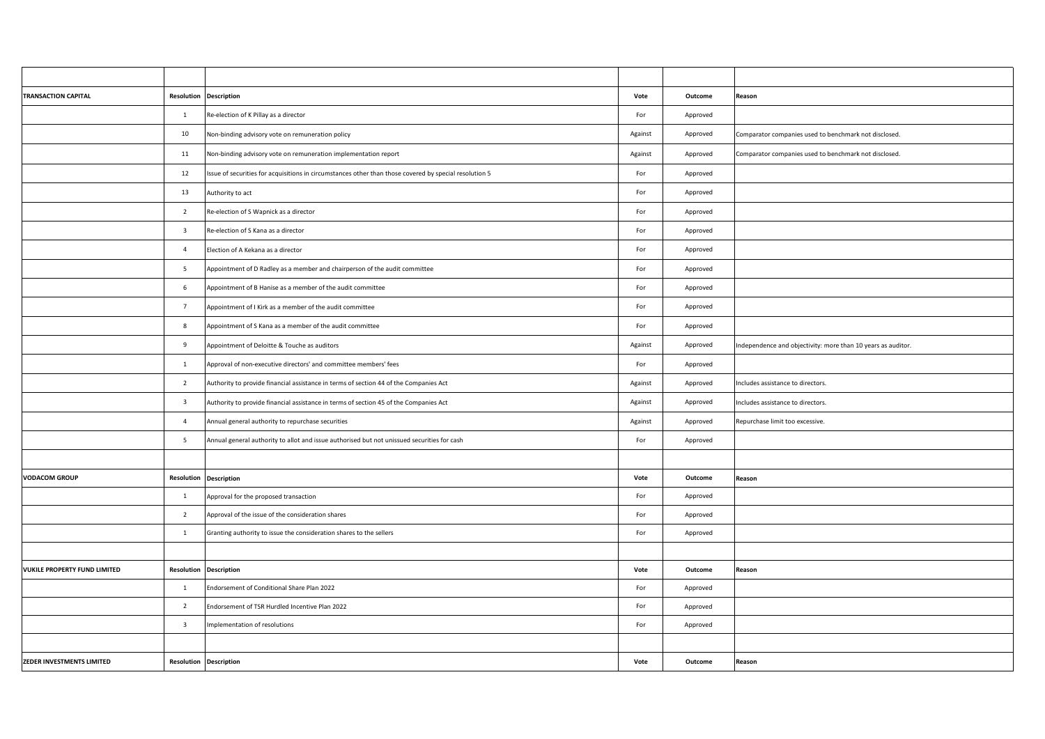| <b>TRANSACTION CAPITAL</b>          |                         | <b>Resolution Description</b>                                                                          | Vote    | Outcome  | Reason                                                       |
|-------------------------------------|-------------------------|--------------------------------------------------------------------------------------------------------|---------|----------|--------------------------------------------------------------|
|                                     | $\mathbf{1}$            | Re-election of K Pillay as a director                                                                  | For     | Approved |                                                              |
|                                     | 10                      | Non-binding advisory vote on remuneration policy                                                       | Against | Approved | Comparator companies used to benchmark not disclosed.        |
|                                     | 11                      | Non-binding advisory vote on remuneration implementation report                                        | Against | Approved | Comparator companies used to benchmark not disclosed.        |
|                                     | 12                      | Issue of securities for acquisitions in circumstances other than those covered by special resolution 5 | For     | Approved |                                                              |
|                                     | 13                      | Authority to act                                                                                       | For     | Approved |                                                              |
|                                     | $\overline{2}$          | Re-election of S Wapnick as a director                                                                 | For     | Approved |                                                              |
|                                     | $\overline{\mathbf{3}}$ | Re-election of S Kana as a director                                                                    | For     | Approved |                                                              |
|                                     | $\overline{4}$          | Election of A Kekana as a director                                                                     | For     | Approved |                                                              |
|                                     | $5\overline{5}$         | Appointment of D Radley as a member and chairperson of the audit committee                             | For     | Approved |                                                              |
|                                     | 6                       | Appointment of B Hanise as a member of the audit committee                                             | For     | Approved |                                                              |
|                                     | $7\overline{ }$         | Appointment of I Kirk as a member of the audit committee                                               | For     | Approved |                                                              |
|                                     | 8                       | Appointment of S Kana as a member of the audit committee                                               | For     | Approved |                                                              |
|                                     | 9                       | Appointment of Deloitte & Touche as auditors                                                           | Against | Approved | Independence and objectivity: more than 10 years as auditor. |
|                                     | $\mathbf{1}$            | Approval of non-executive directors' and committee members' fees                                       | For     | Approved |                                                              |
|                                     | $\overline{2}$          | Authority to provide financial assistance in terms of section 44 of the Companies Act                  | Against | Approved | Includes assistance to directors.                            |
|                                     | $\overline{\mathbf{3}}$ | Authority to provide financial assistance in terms of section 45 of the Companies Act                  | Against | Approved | Includes assistance to directors.                            |
|                                     | $\overline{4}$          | Annual general authority to repurchase securities                                                      | Against | Approved | Repurchase limit too excessive.                              |
|                                     | $5\overline{5}$         | Annual general authority to allot and issue authorised but not unissued securities for cash            | For     | Approved |                                                              |
|                                     |                         |                                                                                                        |         |          |                                                              |
| <b>VODACOM GROUP</b>                | Resolution              | <b>Description</b>                                                                                     | Vote    | Outcome  | Reason                                                       |
|                                     | $\mathbf{1}$            | Approval for the proposed transaction                                                                  | For     | Approved |                                                              |
|                                     | $\overline{2}$          | Approval of the issue of the consideration shares                                                      | For     | Approved |                                                              |
|                                     | $\mathbf{1}$            | Granting authority to issue the consideration shares to the sellers                                    | For     | Approved |                                                              |
|                                     |                         |                                                                                                        |         |          |                                                              |
| <b>VUKILE PROPERTY FUND LIMITED</b> | Resolution              | <b>Description</b>                                                                                     | Vote    | Outcome  | Reason                                                       |
|                                     | $\mathbf{1}$            | Endorsement of Conditional Share Plan 2022                                                             | For     | Approved |                                                              |
|                                     | $\overline{2}$          | Endorsement of TSR Hurdled Incentive Plan 2022                                                         | For     | Approved |                                                              |
|                                     | $\overline{\mathbf{3}}$ | Implementation of resolutions                                                                          | For     | Approved |                                                              |
|                                     |                         |                                                                                                        |         |          |                                                              |
| ZEDER INVESTMENTS LIMITED           |                         | <b>Resolution Description</b>                                                                          | Vote    | Outcome  | Reason                                                       |